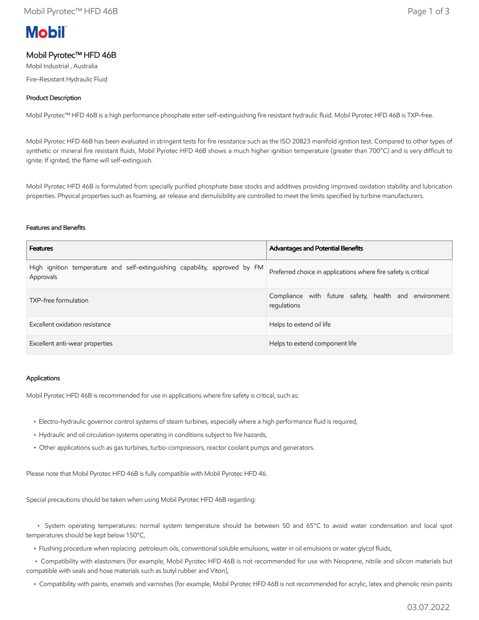# **Mobil**

# Mobil Pyrotec™ HFD 46B

Mobil Industrial , Australia

Fire-Resistant Hydraulic Fluid

### Product Description

Mobil Pyrotec™ HFD 46B is a high performance phosphate ester self-extinguishing fire resistant hydraulic fluid. Mobil Pyrotec HFD 46B is TXP-free.

Mobil Pyrotec HFD 46B has been evaluated in stringent tests for fire resistance such as the ISO 20823 manifold ignition test. Compared to other types of synthetic or mineral fire resistant fluids, Mobil Pyrotec HFD 46B shows a much higher ignition temperature (greater than 700°C) and is very difficult to ignite. If ignited, the flame will self-extinguish.

Mobil Pyrotec HFD 46B is formulated from specially purified phosphate base stocks and additives providing improved oxidation stability and lubrication properties. Physical properties such as foaming, air release and demulsibility are controlled to meet the limits specified by turbine manufacturers.

#### Features and Benefits

| <b>Features</b>                                                                          | <b>Advantages and Potential Benefits</b>                             |  |
|------------------------------------------------------------------------------------------|----------------------------------------------------------------------|--|
| High ignition temperature and self-extinguishing capability, approved by FM<br>Approvals | Preferred choice in applications where fire safety is critical       |  |
| TXP-free formulation                                                                     | Compliance with future safety, health and environment<br>regulations |  |
| Excellent oxidation resistance                                                           | Helps to extend oil life                                             |  |
| Excellent anti-wear properties                                                           | Helps to extend component life                                       |  |

#### Applications

Mobil Pyrotec HFD 46B is recommended for use in applications where fire safety is critical, such as:

- Electro-hydraulic governor control systems of steam turbines, especially where a high performance fluid is required,
- Hydraulic and oil circulation systems operating in conditions subject to fire hazards,
- Other applications such as gas turbines, turbo-compressors, reactor coolant pumps and generators.

Please note that Mobil Pyrotec HFD 46B is fully compatible with Mobil Pyrotec HFD 46.

Special precautions should be taken when using Mobil Pyrotec HFD 46B regarding:

 • System operating temperatures: normal system temperature should be between 50 and 65°C to avoid water condensation and local spot temperatures should be kept below 150°C,

• Flushing procedure when replacing petroleum oils, conventional soluble emulsions, water in oil emulsions or water glycol fluids,

 • Compatibility with elastomers (for example, Mobil Pyrotec HFD 46B is not recommended for use with Neoprene, nitrile and silicon materials but compatible with seals and hose materials such as butyl rubber and Viton),

• Compatibility with paints, enamels and varnishes (for example, Mobil Pyrotec HFD 46B is not recommended for acrylic, latex and phenolic resin paints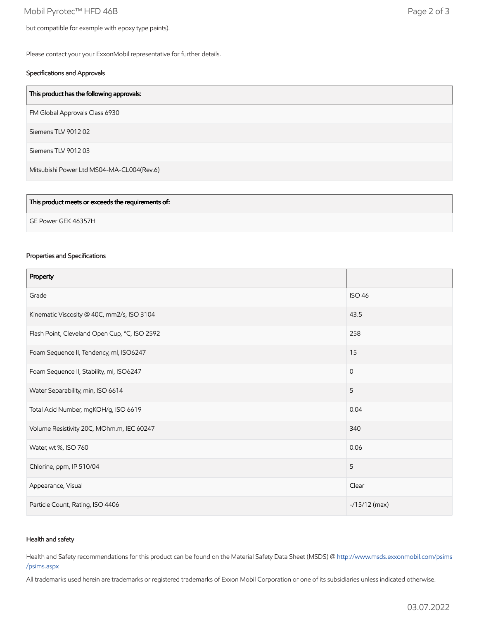Mobil Pyrotec™ HFD 46B Page 2 of 3

but compatible for example with epoxy type paints).

Please contact your your ExxonMobil representative for further details.

#### Specifications and Approvals

| FM Global Approvals Class 6930<br>Siemens TLV 901202<br>Siemens TLV 901203 | This product has the following approvals: |
|----------------------------------------------------------------------------|-------------------------------------------|
|                                                                            |                                           |
|                                                                            |                                           |
|                                                                            |                                           |
| Mitsubishi Power Ltd MS04-MA-CL004(Rev.6)                                  |                                           |

| This product meets or exceeds the requirements of: |  |
|----------------------------------------------------|--|
| GE Power GEK 46357H                                |  |
|                                                    |  |

#### Properties and Specifications

| Property                                      |                |
|-----------------------------------------------|----------------|
| Grade                                         | <b>ISO 46</b>  |
| Kinematic Viscosity @ 40C, mm2/s, ISO 3104    | 43.5           |
| Flash Point, Cleveland Open Cup, °C, ISO 2592 | 258            |
| Foam Sequence II, Tendency, ml, ISO6247       | 15             |
| Foam Sequence II, Stability, ml, ISO6247      | $\mathbf{0}$   |
| Water Separability, min, ISO 6614             | 5              |
| Total Acid Number, mgKOH/g, ISO 6619          | 0.04           |
| Volume Resistivity 20C, MOhm.m, IEC 60247     | 340            |
| Water, wt %, ISO 760                          | 0.06           |
| Chlorine, ppm, IP 510/04                      | 5              |
| Appearance, Visual                            | Clear          |
| Particle Count, Rating, ISO 4406              | $-15/12$ (max) |

#### Health and safety

Health and Safety recommendations for this product can be found on the Material Safety Data Sheet (MSDS) @ [http://www.msds.exxonmobil.com/psims](http://www.msds.exxonmobil.com/psims/psims.aspx) /psims.aspx

All trademarks used herein are trademarks or registered trademarks of Exxon Mobil Corporation or one of its subsidiaries unless indicated otherwise.